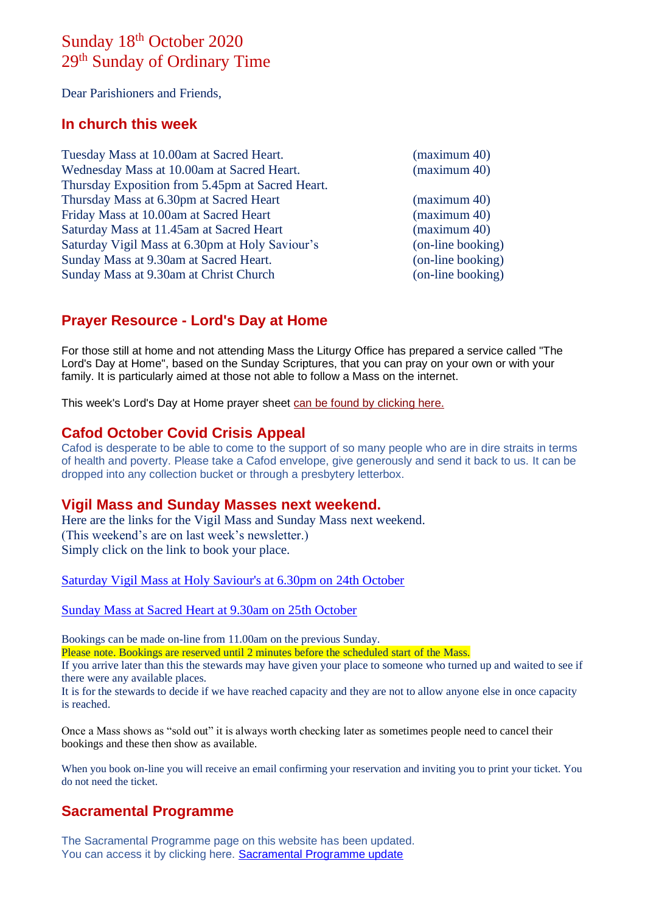# Sunday 18<sup>th</sup> October 2020 29<sup>th</sup> Sunday of Ordinary Time

Dear Parishioners and Friends,

#### **In church this week**

| Tuesday Mass at 10.00am at Sacred Heart.         | (maximum 40)      |
|--------------------------------------------------|-------------------|
| Wednesday Mass at 10.00am at Sacred Heart.       | (maximum 40)      |
| Thursday Exposition from 5.45pm at Sacred Heart. |                   |
| Thursday Mass at 6.30pm at Sacred Heart          | (maximum 40)      |
| Friday Mass at 10.00am at Sacred Heart           | (maximum 40)      |
| Saturday Mass at 11.45am at Sacred Heart         | (maximum 40)      |
| Saturday Vigil Mass at 6.30pm at Holy Saviour's  | (on-line booking) |
| Sunday Mass at 9.30am at Sacred Heart.           | (on-line booking) |
| Sunday Mass at 9.30am at Christ Church           | (on-line booking) |

### **Prayer Resource - Lord's Day at Home**

For those still at home and not attending Mass the Liturgy Office has prepared a service called "The Lord's Day at Home", based on the Sunday Scriptures, that you can pray on your own or with your family. It is particularly aimed at those not able to follow a Mass on the internet.

This week's Lord's Day at Home prayer sheet [can be found by clicking here.](https://dioceseofsalford.us6.list-manage.com/track/click?u=76e219dab8653b775ba8aac4c&id=a591850480&e=5ce69633f0)

#### **Cafod October Covid Crisis Appeal**

Cafod is desperate to be able to come to the support of so many people who are in dire straits in terms of health and poverty. Please take a Cafod envelope, give generously and send it back to us. It can be dropped into any collection bucket or through a presbytery letterbox.

#### **Vigil Mass and Sunday Masses next weekend.**

Here are the links for the Vigil Mass and Sunday Mass next weekend. (This weekend's are on last week's newsletter.) Simply click on the link to book your place.

[Saturday Vigil Mass at Holy Saviour's at 6.30pm on 24th October](https://www.eventbrite.co.uk/e/saturday-vigil-mass-630pm-holy-saviours-nelson-24th-october-tickets-125548389613)

[Sunday Mass at Sacred Heart at 9.30am on 25th October](https://www.eventbrite.co.uk/e/sunday-mass-930am-sacred-heart-colne-25th-october-2020-tickets-125549131833)

Bookings can be made on-line from 11.00am on the previous Sunday.

Please note. Bookings are reserved until 2 minutes before the scheduled start of the Mass.

If you arrive later than this the stewards may have given your place to someone who turned up and waited to see if there were any available places.

It is for the stewards to decide if we have reached capacity and they are not to allow anyone else in once capacity is reached.

Once a Mass shows as "sold out" it is always worth checking later as sometimes people need to cancel their bookings and these then show as available.

When you book on-line you will receive an email confirming your reservation and inviting you to print your ticket. You do not need the ticket.

## **Sacramental Programme**

The Sacramental Programme page on this website has been updated. You can access it by clicking here. [Sacramental Programme update](https://goodshepherdpendle.org.uk/sacramental-programme/)